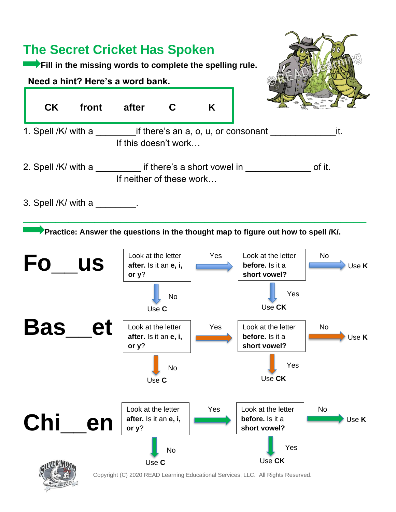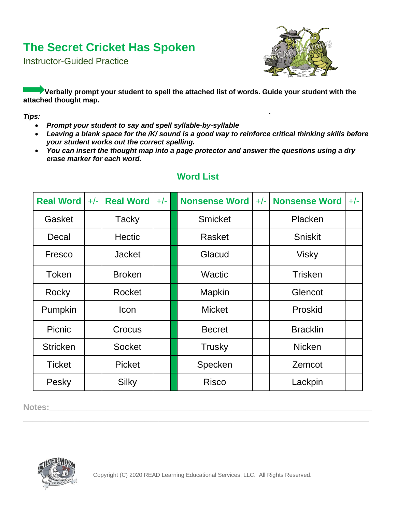Instructor-Guided Practice



**Verbally prompt your student to spell the attached list of words. Guide your student with the attached thought map.**

#### *Tips:*

- *Prompt your student to say and spell syllable-by-syllable*
- *Leaving a blank space for the /K/ sound is a good way to reinforce critical thinking skills before your student works out the correct spelling.*
- *You can insert the thought map into a page protector and answer the questions using a dry erase marker for each word.*

| <b>Real Word</b> | $+/-$ | <b>Real Word</b> | $+/-$ | <b>Nonsense Word</b> | $+/-$ | <b>Nonsense Word</b> |  |
|------------------|-------|------------------|-------|----------------------|-------|----------------------|--|
| Gasket           |       | <b>Tacky</b>     |       | <b>Smicket</b>       |       | Placken              |  |
| Decal            |       | <b>Hectic</b>    |       | Rasket               |       | <b>Sniskit</b>       |  |
| Fresco           |       | <b>Jacket</b>    |       | Glacud               |       | <b>Visky</b>         |  |
| <b>Token</b>     |       | <b>Broken</b>    |       | <b>Wactic</b>        |       | <b>Trisken</b>       |  |
| Rocky            |       | Rocket           |       | Mapkin               |       | Glencot              |  |
| Pumpkin          |       | <b>Icon</b>      |       | <b>Micket</b>        |       | Proskid              |  |
| Picnic           |       | Crocus           |       | <b>Becret</b>        |       | <b>Bracklin</b>      |  |
| <b>Stricken</b>  |       | <b>Socket</b>    |       | <b>Trusky</b>        |       | <b>Nicken</b>        |  |
| <b>Ticket</b>    |       | <b>Picket</b>    |       | Specken              |       | Zemcot               |  |
| Pesky            |       | <b>Silky</b>     |       | <b>Risco</b>         |       | Lackpin              |  |

#### **Word List**

**Notes:\_\_\_\_\_\_\_\_\_\_\_\_\_\_\_\_\_\_\_\_\_\_\_\_\_\_\_\_\_\_\_\_\_\_\_\_\_\_\_\_\_\_\_\_\_\_\_\_\_\_\_\_\_\_\_\_\_\_\_\_\_\_\_\_\_\_\_\_\_**



**\_\_\_\_\_\_\_\_\_\_\_\_\_\_\_\_\_\_\_\_\_\_\_\_\_\_\_\_\_\_\_\_\_\_\_\_\_\_\_\_\_\_\_\_\_\_\_\_\_\_\_\_\_\_\_\_\_\_\_\_\_\_\_\_\_\_\_\_\_\_\_\_\_\_ \_\_\_\_\_\_\_\_\_\_\_\_\_\_\_\_\_\_\_\_\_\_\_\_\_\_\_\_\_\_\_\_\_\_\_\_\_\_\_\_\_\_\_\_\_\_\_\_\_\_\_\_\_\_\_\_\_\_\_\_\_\_\_\_\_\_\_\_\_\_\_\_\_\_**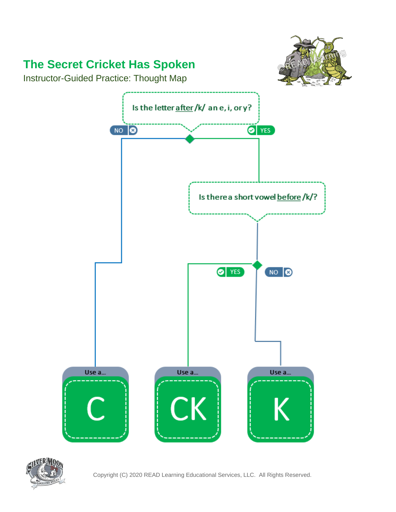

Instructor-Guided Practice: Thought Map



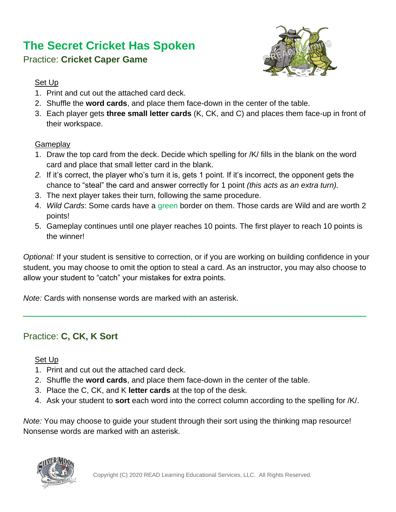

### Practice: **Cricket Caper Game**

#### Set Up

- 1. Print and cut out the attached card deck.
- 2. Shuffle the **word cards**, and place them face-down in the center of the table.
- 3. Each player gets **three small letter cards** (K, CK, and C) and places them face-up in front of their workspace.

#### **Gameplay**

- 1. Draw the top card from the deck. Decide which spelling for /K/ fills in the blank on the word card and place that small letter card in the blank.
- *2.* If it's correct, the player who's turn it is, gets 1 point. If it's incorrect, the opponent gets the chance to "steal" the card and answer correctly for 1 point *(this acts as an extra turn).*
- 3. The next player takes their turn, following the same procedure.
- 4. *Wild Cards*: Some cards have a green border on them. Those cards are Wild and are worth 2 points!
- 5. Gameplay continues until one player reaches 10 points. The first player to reach 10 points is the winner!

*Optional:* If your student is sensitive to correction, or if you are working on building confidence in your student, you may choose to omit the option to steal a card. As an instructor, you may also choose to allow your student to "catch" your mistakes for extra points.

\_\_\_\_\_\_\_\_\_\_\_\_\_\_\_\_\_\_\_\_\_\_\_\_\_\_\_\_\_\_\_\_\_\_\_\_\_\_\_\_\_\_\_\_\_\_\_\_\_\_\_\_\_

*Note:* Cards with nonsense words are marked with an asterisk.

### Practice: **C, CK, K Sort**

Set Up

- 1. Print and cut out the attached card deck.
- 2. Shuffle the **word cards**, and place them face-down in the center of the table.
- 3. Place the C, CK, and K **letter cards** at the top of the desk.
- 4. Ask your student to **sort** each word into the correct column according to the spelling for /K/.

*Note:* You may choose to guide your student through their sort using the thinking map resource! Nonsense words are marked with an asterisk.

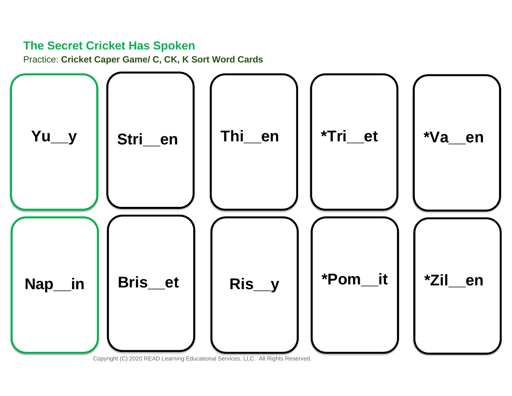Practice: Cricket Caper Game/ C, CK, K Sort Word Cards



Copyright (C) 2020 READ Learning Educational Services, LLC. All Rights Reserved.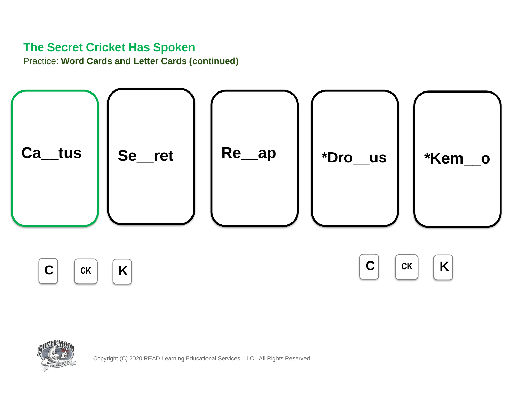**Practice: Word Cards and Letter Cards (continued)** 



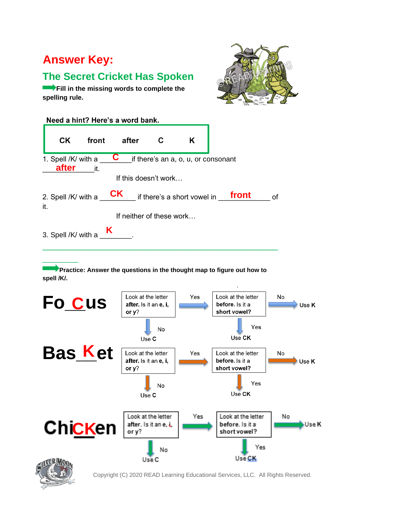### **Answer Key:**

### **The Secret Cricket Has Spoken**

**Fill in the missing words to complete the spelling rule.**



| Need a hint? Here's a word bank. |                              |       |                          |   |                                     |  |       |    |  |  |  |
|----------------------------------|------------------------------|-------|--------------------------|---|-------------------------------------|--|-------|----|--|--|--|
|                                  | <b>CK</b>                    | front | after                    | С | Κ                                   |  |       |    |  |  |  |
|                                  | 1. Spell /K/ with a<br>after | it.   | C                        |   | if there's an a, o, u, or consonant |  |       |    |  |  |  |
|                                  |                              |       | If this doesn't work     |   |                                     |  |       |    |  |  |  |
| it.                              | 2. Spell /K/ with a          |       | <b>CK</b>                |   | if there's a short vowel in         |  | front | οf |  |  |  |
|                                  |                              |       | If neither of these work |   |                                     |  |       |    |  |  |  |
|                                  | 3. Spell /K/ with a          | K     |                          |   |                                     |  |       |    |  |  |  |

**Practice: Answer the questions in the thought map to figure out how to spell /K/.**